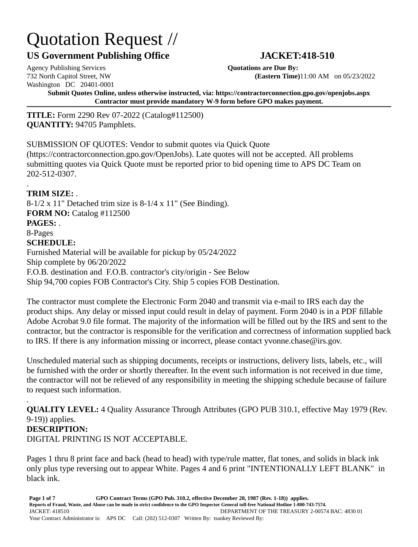# Quotation Request //

# **US Government Publishing Office JACKET:418-510**

# Agency Publishing Services **Quotations are Due By:** Washington DC 20401-0001

.

732 North Capitol Street, NW **(Eastern Time)**11:00 AM on 05/23/2022

**Submit Quotes Online, unless otherwise instructed, via: https://contractorconnection.gpo.gov/openjobs.aspx Contractor must provide mandatory W-9 form before GPO makes payment.**

**TITLE:** Form 2290 Rev 07-2022 (Catalog#112500) **QUANTITY:** 94705 Pamphlets.

SUBMISSION OF QUOTES: Vendor to submit quotes via Quick Quote

(https://contractorconnection.gpo.gov/OpenJobs). Late quotes will not be accepted. All problems submitting quotes via Quick Quote must be reported prior to bid opening time to APS DC Team on 202-512-0307.

**TRIM SIZE:** . 8-1/2 x 11" Detached trim size is 8-1/4 x 11" (See Binding). **FORM NO:** Catalog #112500 **PAGES:** . 8-Pages **SCHEDULE:** Furnished Material will be available for pickup by 05/24/2022 Ship complete by 06/20/2022 F.O.B. destination and F.O.B. contractor's city/origin - See Below Ship 94,700 copies FOB Contractor's City. Ship 5 copies FOB Destination.

The contractor must complete the Electronic Form 2040 and transmit via e-mail to IRS each day the product ships. Any delay or missed input could result in delay of payment. Form 2040 is in a PDF fillable Adobe Acrobat 9.0 file format. The majority of the information will be filled out by the IRS and sent to the contractor, but the contractor is responsible for the verification and correctness of information supplied back to IRS. If there is any information missing or incorrect, please contact yvonne.chase@irs.gov.

Unscheduled material such as shipping documents, receipts or instructions, delivery lists, labels, etc., will be furnished with the order or shortly thereafter. In the event such information is not received in due time, the contractor will not be relieved of any responsibility in meeting the shipping schedule because of failure to request such information.

. **QUALITY LEVEL:** 4 Quality Assurance Through Attributes (GPO PUB 310.1, effective May 1979 (Rev. 9-19)) applies. **DESCRIPTION:** DIGITAL PRINTING IS NOT ACCEPTABLE.

Pages 1 thru 8 print face and back (head to head) with type/rule matter, flat tones, and solids in black ink only plus type reversing out to appear White. Pages 4 and 6 print "INTENTIONALLY LEFT BLANK" in black ink.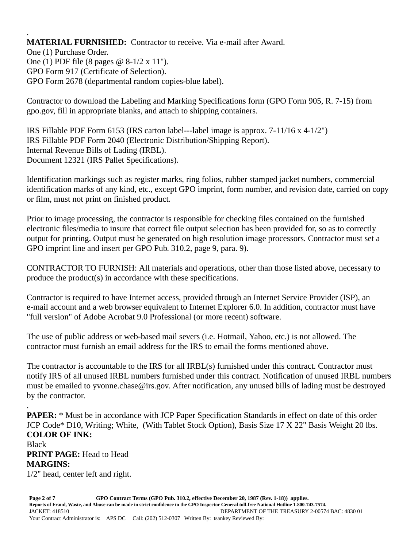. **MATERIAL FURNISHED:** Contractor to receive. Via e-mail after Award.

One (1) Purchase Order. One (1) PDF file (8 pages @ 8-1/2 x 11"). GPO Form 917 (Certificate of Selection). GPO Form 2678 (departmental random copies-blue label).

Contractor to download the Labeling and Marking Specifications form (GPO Form 905, R. 7-15) from gpo.gov, fill in appropriate blanks, and attach to shipping containers.

IRS Fillable PDF Form 6153 (IRS carton label---label image is approx. 7-11/16 x 4-1/2") IRS Fillable PDF Form 2040 (Electronic Distribution/Shipping Report). Internal Revenue Bills of Lading (IRBL). Document 12321 (IRS Pallet Specifications).

Identification markings such as register marks, ring folios, rubber stamped jacket numbers, commercial identification marks of any kind, etc., except GPO imprint, form number, and revision date, carried on copy or film, must not print on finished product.

Prior to image processing, the contractor is responsible for checking files contained on the furnished electronic files/media to insure that correct file output selection has been provided for, so as to correctly output for printing. Output must be generated on high resolution image processors. Contractor must set a GPO imprint line and insert per GPO Pub. 310.2, page 9, para. 9).

CONTRACTOR TO FURNISH: All materials and operations, other than those listed above, necessary to produce the product(s) in accordance with these specifications.

Contractor is required to have Internet access, provided through an Internet Service Provider (ISP), an e-mail account and a web browser equivalent to Internet Explorer 6.0. In addition, contractor must have "full version" of Adobe Acrobat 9.0 Professional (or more recent) software.

The use of public address or web-based mail severs (i.e. Hotmail, Yahoo, etc.) is not allowed. The contractor must furnish an email address for the IRS to email the forms mentioned above.

The contractor is accountable to the IRS for all IRBL(s) furnished under this contract. Contractor must notify IRS of all unused IRBL numbers furnished under this contract. Notification of unused IRBL numbers must be emailed to yvonne.chase@irs.gov. After notification, any unused bills of lading must be destroyed by the contractor.

. **PAPER:** \* Must be in accordance with JCP Paper Specification Standards in effect on date of this order JCP Code\* D10, Writing; White, (With Tablet Stock Option), Basis Size 17 X 22" Basis Weight 20 lbs. **COLOR OF INK:**

# Black **PRINT PAGE:** Head to Head **MARGINS:**

1/2" head, center left and right.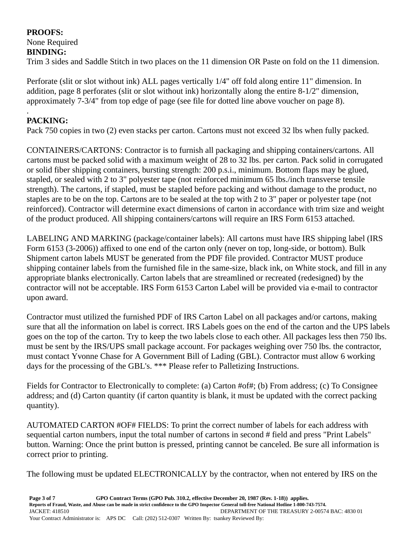# **PROOFS:**

#### None Required **BINDING:**

Trim 3 sides and Saddle Stitch in two places on the 11 dimension OR Paste on fold on the 11 dimension.

Perforate (slit or slot without ink) ALL pages vertically 1/4" off fold along entire 11" dimension. In addition, page 8 perforates (slit or slot without ink) horizontally along the entire 8-1/2" dimension, approximately 7-3/4" from top edge of page (see file for dotted line above voucher on page 8).

#### . **PACKING:**

Pack 750 copies in two (2) even stacks per carton. Cartons must not exceed 32 lbs when fully packed.

CONTAINERS/CARTONS: Contractor is to furnish all packaging and shipping containers/cartons. All cartons must be packed solid with a maximum weight of 28 to 32 lbs. per carton. Pack solid in corrugated or solid fiber shipping containers, bursting strength: 200 p.s.i., minimum. Bottom flaps may be glued, stapled, or sealed with 2 to 3" polyester tape (not reinforced minimum 65 lbs./inch transverse tensile strength). The cartons, if stapled, must be stapled before packing and without damage to the product, no staples are to be on the top. Cartons are to be sealed at the top with 2 to 3" paper or polyester tape (not reinforced). Contractor will determine exact dimensions of carton in accordance with trim size and weight of the product produced. All shipping containers/cartons will require an IRS Form 6153 attached.

LABELING AND MARKING (package/container labels): All cartons must have IRS shipping label (IRS Form 6153 (3-2006)) affixed to one end of the carton only (never on top, long-side, or bottom). Bulk Shipment carton labels MUST be generated from the PDF file provided. Contractor MUST produce shipping container labels from the furnished file in the same-size, black ink, on White stock, and fill in any appropriate blanks electronically. Carton labels that are streamlined or recreated (redesigned) by the contractor will not be acceptable. IRS Form 6153 Carton Label will be provided via e-mail to contractor upon award.

Contractor must utilized the furnished PDF of IRS Carton Label on all packages and/or cartons, making sure that all the information on label is correct. IRS Labels goes on the end of the carton and the UPS labels goes on the top of the carton. Try to keep the two labels close to each other. All packages less then 750 lbs. must be sent by the IRS/UPS small package account. For packages weighing over 750 lbs. the contractor, must contact Yvonne Chase for A Government Bill of Lading (GBL). Contractor must allow 6 working days for the processing of the GBL's. \*\*\* Please refer to Palletizing Instructions.

Fields for Contractor to Electronically to complete: (a) Carton #of#; (b) From address; (c) To Consignee address; and (d) Carton quantity (if carton quantity is blank, it must be updated with the correct packing quantity).

AUTOMATED CARTON #OF# FIELDS: To print the correct number of labels for each address with sequential carton numbers, input the total number of cartons in second # field and press "Print Labels" button. Warning: Once the print button is pressed, printing cannot be canceled. Be sure all information is correct prior to printing.

The following must be updated ELECTRONICALLY by the contractor, when not entered by IRS on the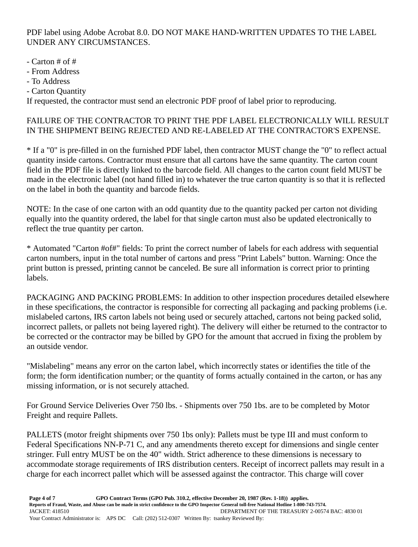PDF label using Adobe Acrobat 8.0. DO NOT MAKE HAND-WRITTEN UPDATES TO THE LABEL UNDER ANY CIRCUMSTANCES.

- Carton # of #
- From Address
- To Address
- Carton Quantity

If requested, the contractor must send an electronic PDF proof of label prior to reproducing.

### FAILURE OF THE CONTRACTOR TO PRINT THE PDF LABEL ELECTRONICALLY WILL RESULT IN THE SHIPMENT BEING REJECTED AND RE-LABELED AT THE CONTRACTOR'S EXPENSE.

\* If a "0" is pre-filled in on the furnished PDF label, then contractor MUST change the "0" to reflect actual quantity inside cartons. Contractor must ensure that all cartons have the same quantity. The carton count field in the PDF file is directly linked to the barcode field. All changes to the carton count field MUST be made in the electronic label (not hand filled in) to whatever the true carton quantity is so that it is reflected on the label in both the quantity and barcode fields.

NOTE: In the case of one carton with an odd quantity due to the quantity packed per carton not dividing equally into the quantity ordered, the label for that single carton must also be updated electronically to reflect the true quantity per carton.

\* Automated "Carton #of#" fields: To print the correct number of labels for each address with sequential carton numbers, input in the total number of cartons and press "Print Labels" button. Warning: Once the print button is pressed, printing cannot be canceled. Be sure all information is correct prior to printing labels.

PACKAGING AND PACKING PROBLEMS: In addition to other inspection procedures detailed elsewhere in these specifications, the contractor is responsible for correcting all packaging and packing problems (i.e. mislabeled cartons, IRS carton labels not being used or securely attached, cartons not being packed solid, incorrect pallets, or pallets not being layered right). The delivery will either be returned to the contractor to be corrected or the contractor may be billed by GPO for the amount that accrued in fixing the problem by an outside vendor.

"Mislabeling" means any error on the carton label, which incorrectly states or identifies the title of the form; the form identification number; or the quantity of forms actually contained in the carton, or has any missing information, or is not securely attached.

For Ground Service Deliveries Over 750 lbs. - Shipments over 750 1bs. are to be completed by Motor Freight and require Pallets.

PALLETS (motor freight shipments over 750 1bs only): Pallets must be type III and must conform to Federal Specifications NN-P-71 C, and any amendments thereto except for dimensions and single center stringer. Full entry MUST be on the 40" width. Strict adherence to these dimensions is necessary to accommodate storage requirements of IRS distribution centers. Receipt of incorrect pallets may result in a charge for each incorrect pallet which will be assessed against the contractor. This charge will cover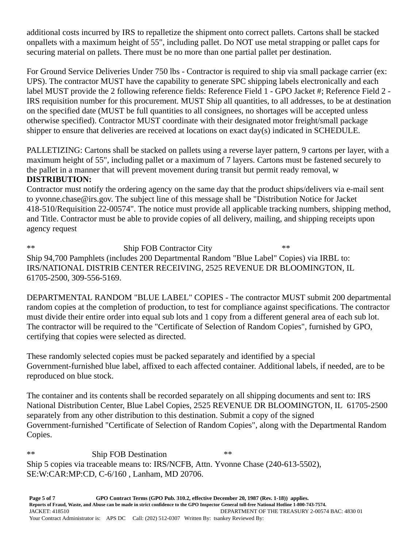additional costs incurred by IRS to repalletize the shipment onto correct pallets. Cartons shall be stacked onpallets with a maximum height of 55", including pallet. Do NOT use metal strapping or pallet caps for securing material on pallets. There must be no more than one partial pallet per destination.

For Ground Service Deliveries Under 750 lbs - Contractor is required to ship via small package carrier (ex: UPS). The contractor MUST have the capability to generate SPC shipping labels electronically and each label MUST provide the 2 following reference fields: Reference Field 1 - GPO Jacket #; Reference Field 2 - IRS requisition number for this procurement. MUST Ship all quantities, to all addresses, to be at destination on the specified date (MUST be full quantities to all consignees, no shortages will be accepted unless otherwise specified). Contractor MUST coordinate with their designated motor freight/small package shipper to ensure that deliveries are received at locations on exact day(s) indicated in SCHEDULE.

PALLETIZING: Cartons shall be stacked on pallets using a reverse layer pattern, 9 cartons per layer, with a maximum height of 55", including pallet or a maximum of 7 layers. Cartons must be fastened securely to the pallet in a manner that will prevent movement during transit but permit ready removal, w

## **DISTRIBUTION:**

Contractor must notify the ordering agency on the same day that the product ships/delivers via e-mail sent to yvonne.chase@irs.gov. The subject line of this message shall be "Distribution Notice for Jacket 418-510/Requisition 22-00574". The notice must provide all applicable tracking numbers, shipping method, and Title. Contractor must be able to provide copies of all delivery, mailing, and shipping receipts upon agency request

\*\* Ship FOB Contractor City \*\* Ship 94,700 Pamphlets (includes 200 Departmental Random "Blue Label" Copies) via IRBL to: IRS/NATIONAL DISTRIB CENTER RECEIVING, 2525 REVENUE DR BLOOMINGTON, IL 61705-2500, 309-556-5169.

DEPARTMENTAL RANDOM "BLUE LABEL" COPIES - The contractor MUST submit 200 departmental random copies at the completion of production, to test for compliance against specifications. The contractor must divide their entire order into equal sub lots and 1 copy from a different general area of each sub lot. The contractor will be required to the "Certificate of Selection of Random Copies", furnished by GPO, certifying that copies were selected as directed.

These randomly selected copies must be packed separately and identified by a special Government-furnished blue label, affixed to each affected container. Additional labels, if needed, are to be reproduced on blue stock.

The container and its contents shall be recorded separately on all shipping documents and sent to: IRS National Distribution Center, Blue Label Copies, 2525 REVENUE DR BLOOMINGTON, IL 61705-2500 separately from any other distribution to this destination. Submit a copy of the signed Government-furnished "Certificate of Selection of Random Copies", along with the Departmental Random Copies.

\*\* Ship FOB Destination \*\* Ship 5 copies via traceable means to: IRS/NCFB, Attn. Yvonne Chase (240-613-5502), SE:W:CAR:MP:CD, C-6/160 , Lanham, MD 20706.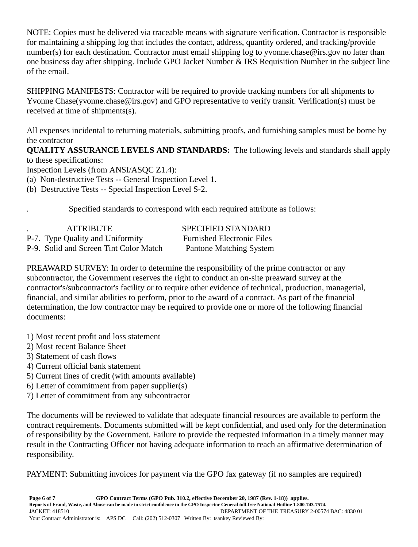NOTE: Copies must be delivered via traceable means with signature verification. Contractor is responsible for maintaining a shipping log that includes the contact, address, quantity ordered, and tracking/provide number(s) for each destination. Contractor must email shipping log to yvonne.chase@irs.gov no later than one business day after shipping. Include GPO Jacket Number & IRS Requisition Number in the subject line of the email.

SHIPPING MANIFESTS: Contractor will be required to provide tracking numbers for all shipments to Yvonne Chase(yvonne.chase@irs.gov) and GPO representative to verify transit. Verification(s) must be received at time of shipments(s).

All expenses incidental to returning materials, submitting proofs, and furnishing samples must be borne by the contractor

**QUALITY ASSURANCE LEVELS AND STANDARDS:** The following levels and standards shall apply to these specifications:

Inspection Levels (from ANSI/ASQC Z1.4):

(a) Non-destructive Tests -- General Inspection Level 1.

(b) Destructive Tests -- Special Inspection Level S-2.

. Specified standards to correspond with each required attribute as follows:

| <b>ATTRIBUTE</b>                       | <b>SPECIFIED STANDARD</b>         |
|----------------------------------------|-----------------------------------|
| P-7. Type Quality and Uniformity       | <b>Furnished Electronic Files</b> |
| P-9. Solid and Screen Tint Color Match | <b>Pantone Matching System</b>    |

PREAWARD SURVEY: In order to determine the responsibility of the prime contractor or any subcontractor, the Government reserves the right to conduct an on-site preaward survey at the contractor's/subcontractor's facility or to require other evidence of technical, production, managerial, financial, and similar abilities to perform, prior to the award of a contract. As part of the financial determination, the low contractor may be required to provide one or more of the following financial documents:

- 1) Most recent profit and loss statement
- 2) Most recent Balance Sheet
- 3) Statement of cash flows
- 4) Current official bank statement
- 5) Current lines of credit (with amounts available)
- 6) Letter of commitment from paper supplier(s)
- 7) Letter of commitment from any subcontractor

The documents will be reviewed to validate that adequate financial resources are available to perform the contract requirements. Documents submitted will be kept confidential, and used only for the determination of responsibility by the Government. Failure to provide the requested information in a timely manner may result in the Contracting Officer not having adequate information to reach an affirmative determination of responsibility.

PAYMENT: Submitting invoices for payment via the GPO fax gateway (if no samples are required)